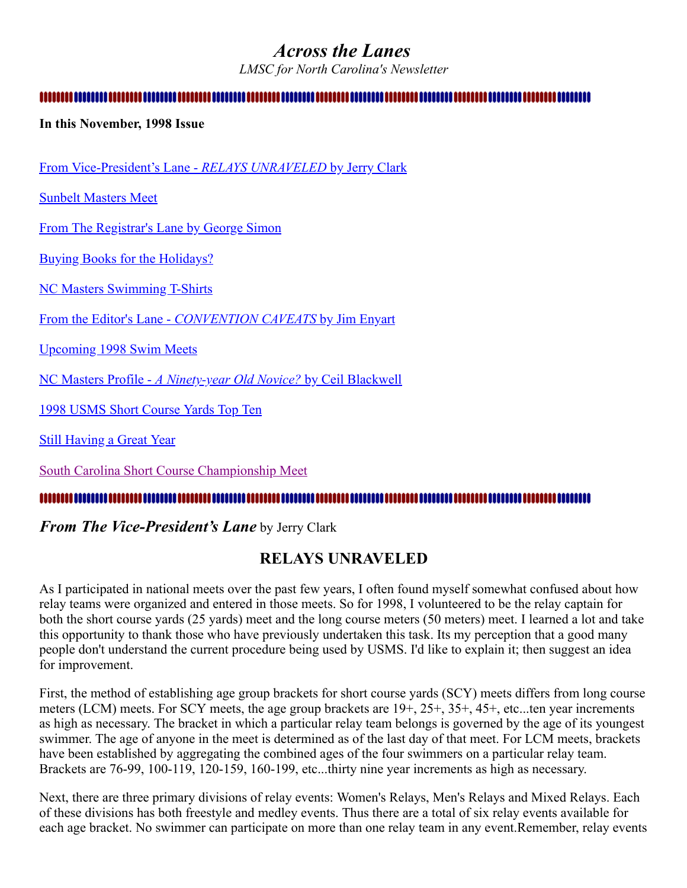# <span id="page-0-1"></span>*Across the Lanes*

*LMSC for North Carolina's Newsletter*

### 

#### **In this November, 1998 Issue**

[From Vice-President's Lane -](#page-0-0) *RELAYS UNRAVELED* by Jerry Clark

[Sunbelt Masters Meet](#page-1-0)

[From The Registrar's Lane by George Simon](#page-2-0)

[Buying Books for the Holidays?](#page-2-1)

[NC Masters Swimming T-Shirts](#page-2-2)

From the Editor's Lane - *[CONVENTION CAVEATS](#page-3-0)* by Jim Enyart

[Upcoming 1998 Swim Meets](#page-6-0)

NC Masters Profile - *[A Ninety-year Old Novice?](#page-7-0)* by Ceil Blackwell

[1998 USMS Short Course Yards Top Ten](#page-8-0)

**[Still Having a Great Year](#page-11-0)** 

[South Carolina Short Course Championship Meet](#page-11-1)

#### 

### <span id="page-0-0"></span>*From The Vice-President's Lane* by Jerry Clark

# **RELAYS UNRAVELED**

As I participated in national meets over the past few years, I often found myself somewhat confused about how relay teams were organized and entered in those meets. So for 1998, I volunteered to be the relay captain for both the short course yards (25 yards) meet and the long course meters (50 meters) meet. I learned a lot and take this opportunity to thank those who have previously undertaken this task. Its my perception that a good many people don't understand the current procedure being used by USMS. I'd like to explain it; then suggest an idea for improvement.

First, the method of establishing age group brackets for short course yards (SCY) meets differs from long course meters (LCM) meets. For SCY meets, the age group brackets are 19+, 25+, 35+, 45+, etc...ten year increments as high as necessary. The bracket in which a particular relay team belongs is governed by the age of its youngest swimmer. The age of anyone in the meet is determined as of the last day of that meet. For LCM meets, brackets have been established by aggregating the combined ages of the four swimmers on a particular relay team. Brackets are 76-99, 100-119, 120-159, 160-199, etc...thirty nine year increments as high as necessary.

Next, there are three primary divisions of relay events: Women's Relays, Men's Relays and Mixed Relays. Each of these divisions has both freestyle and medley events. Thus there are a total of six relay events available for each age bracket. No swimmer can participate on more than one relay team in any event.Remember, relay events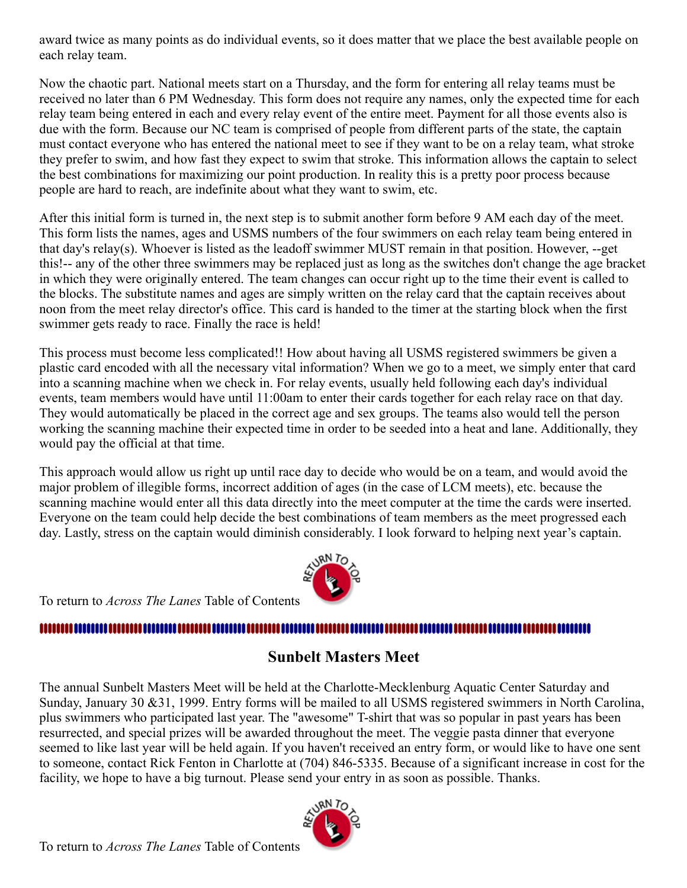award twice as many points as do individual events, so it does matter that we place the best available people on each relay team.

Now the chaotic part. National meets start on a Thursday, and the form for entering all relay teams must be received no later than 6 PM Wednesday. This form does not require any names, only the expected time for each relay team being entered in each and every relay event of the entire meet. Payment for all those events also is due with the form. Because our NC team is comprised of people from different parts of the state, the captain must contact everyone who has entered the national meet to see if they want to be on a relay team, what stroke they prefer to swim, and how fast they expect to swim that stroke. This information allows the captain to select the best combinations for maximizing our point production. In reality this is a pretty poor process because people are hard to reach, are indefinite about what they want to swim, etc.

After this initial form is turned in, the next step is to submit another form before 9 AM each day of the meet. This form lists the names, ages and USMS numbers of the four swimmers on each relay team being entered in that day's relay(s). Whoever is listed as the leadoff swimmer MUST remain in that position. However, --get this!-- any of the other three swimmers may be replaced just as long as the switches don't change the age bracket in which they were originally entered. The team changes can occur right up to the time their event is called to the blocks. The substitute names and ages are simply written on the relay card that the captain receives about noon from the meet relay director's office. This card is handed to the timer at the starting block when the first swimmer gets ready to race. Finally the race is held!

This process must become less complicated!! How about having all USMS registered swimmers be given a plastic card encoded with all the necessary vital information? When we go to a meet, we simply enter that card into a scanning machine when we check in. For relay events, usually held following each day's individual events, team members would have until 11:00am to enter their cards together for each relay race on that day. They would automatically be placed in the correct age and sex groups. The teams also would tell the person working the scanning machine their expected time in order to be seeded into a heat and lane. Additionally, they would pay the official at that time.

This approach would allow us right up until race day to decide who would be on a team, and would avoid the major problem of illegible forms, incorrect addition of ages (in the case of LCM meets), etc. because the scanning machine would enter all this data directly into the meet computer at the time the cards were inserted. Everyone on the team could help decide the best combinations of team members as the meet progressed each day. Lastly, stress on the captain would diminish considerably. I look forward to helping next year's captain.



To return to *Across The Lanes* Table of Contents

# 

# <span id="page-1-0"></span>**Sunbelt Masters Meet**

The annual Sunbelt Masters Meet will be held at the Charlotte-Mecklenburg Aquatic Center Saturday and Sunday, January 30 &31, 1999. Entry forms will be mailed to all USMS registered swimmers in North Carolina, plus swimmers who participated last year. The "awesome" T-shirt that was so popular in past years has been resurrected, and special prizes will be awarded throughout the meet. The veggie pasta dinner that everyone seemed to like last year will be held again. If you haven't received an entry form, or would like to have one sent to someone, contact Rick Fenton in Charlotte at (704) 846-5335. Because of a significant increase in cost for the facility, we hope to have a big turnout. Please send your entry in as soon as possible. Thanks.

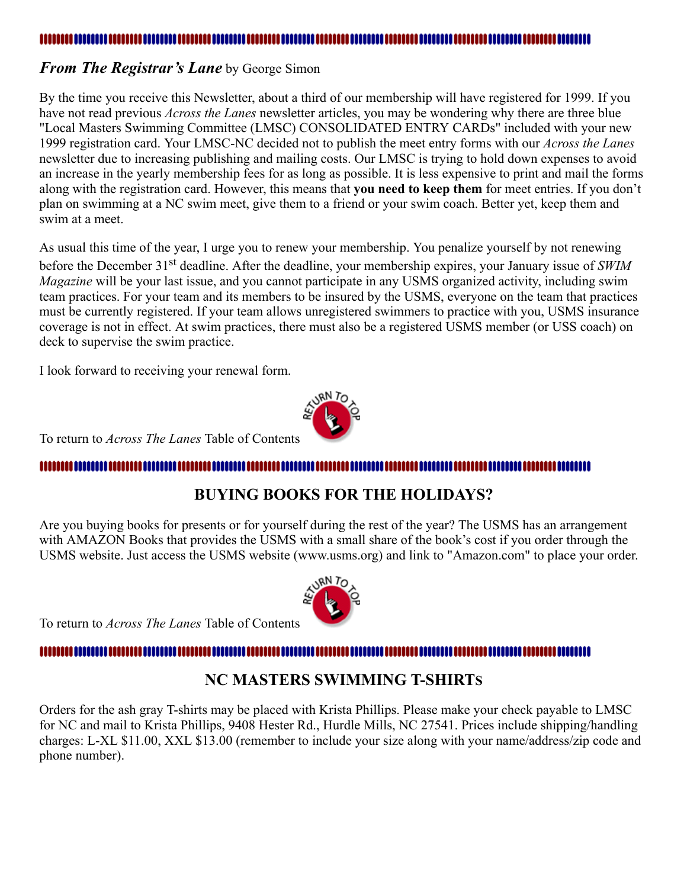### <span id="page-2-0"></span>*From The Registrar's Lane* by George Simon

By the time you receive this Newsletter, about a third of our membership will have registered for 1999. If you have not read previous *Across the Lanes* newsletter articles, you may be wondering why there are three blue "Local Masters Swimming Committee (LMSC) CONSOLIDATED ENTRY CARDs" included with your new 1999 registration card. Your LMSC-NC decided not to publish the meet entry forms with our *Across the Lanes* newsletter due to increasing publishing and mailing costs. Our LMSC is trying to hold down expenses to avoid an increase in the yearly membership fees for as long as possible. It is less expensive to print and mail the forms along with the registration card. However, this means that **you need to keep them** for meet entries. If you don't plan on swimming at a NC swim meet, give them to a friend or your swim coach. Better yet, keep them and swim at a meet.

As usual this time of the year, I urge you to renew your membership. You penalize yourself by not renewing before the December 31st deadline. After the deadline, your membership expires, your January issue of *SWIM Magazine* will be your last issue, and you cannot participate in any USMS organized activity, including swim team practices. For your team and its members to be insured by the USMS, everyone on the team that practices must be currently registered. If your team allows unregistered swimmers to practice with you, USMS insurance coverage is not in effect. At swim practices, there must also be a registered USMS member (or USS coach) on deck to supervise the swim practice.

I look forward to receiving your renewal form.



To return to *Across The Lanes* Table of Contents

# <span id="page-2-1"></span>

# **BUYING BOOKS FOR THE HOLIDAYS?**

Are you buying books for presents or for yourself during the rest of the year? The USMS has an arrangement with AMAZON Books that provides the USMS with a small share of the book's cost if you order through the USMS website. Just access the USMS website (www.usms.org) and link to "Amazon.com" to place your order.



#### <span id="page-2-2"></span>..................................

# **NC MASTERS SWIMMING T-SHIRTS**

Orders for the ash gray T-shirts may be placed with Krista Phillips. Please make your check payable to LMSC for NC and mail to Krista Phillips, 9408 Hester Rd., Hurdle Mills, NC 27541. Prices include shipping/handling charges: L-XL \$11.00, XXL \$13.00 (remember to include your size along with your name/address/zip code and phone number).

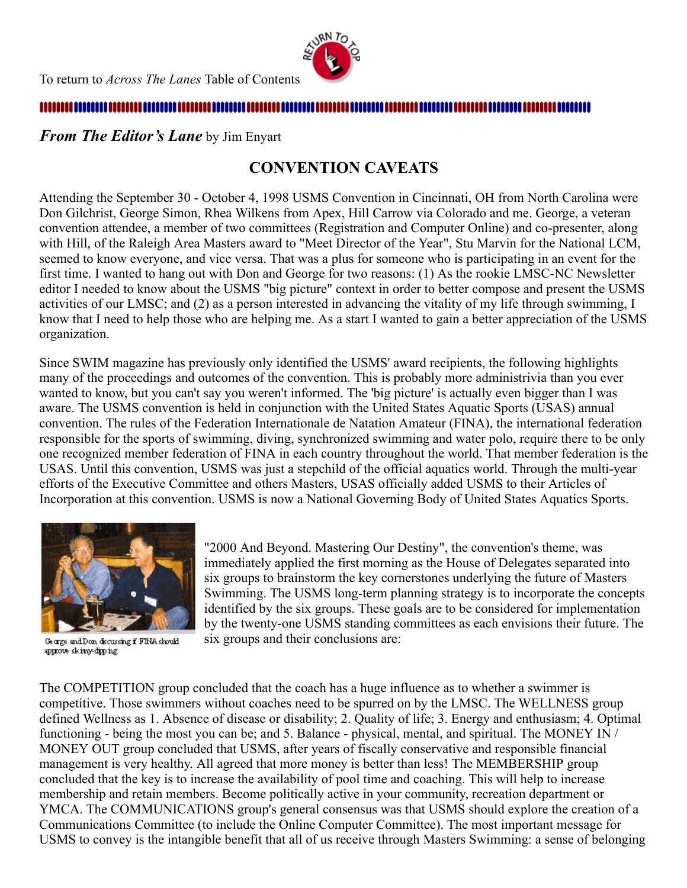

#### 

<span id="page-3-0"></span>*From The Editor's Lane* by Jim Enyart

# **CONVENTION CAVEATS**

Attending the September 30 - October 4, 1998 USMS Convention in Cincinnati, OH from North Carolina were Don Gilchrist, George Simon, Rhea Wilkens from Apex, Hill Carrow via Colorado and me. George, a veteran convention attendee, a member of two committees (Registration and Computer Online) and co-presenter, along with Hill, of the Raleigh Area Masters award to "Meet Director of the Year", Stu Marvin for the National LCM, seemed to know everyone, and vice versa. That was a plus for someone who is participating in an event for the first time. I wanted to hang out with Don and George for two reasons: (1) As the rookie LMSC-NC Newsletter editor I needed to know about the USMS "big picture" context in order to better compose and present the USMS activities of our LMSC; and (2) as a person interested in advancing the vitality of my life through swimming, I know that I need to help those who are helping me. As a start I wanted to gain a better appreciation of the USMS organization.

Since SWIM magazine has previously only identified the USMS' award recipients, the following highlights many of the proceedings and outcomes of the convention. This is probably more administrivia than you ever wanted to know, but you can't say you weren't informed. The 'big picture' is actually even bigger than I was aware. The USMS convention is held in conjunction with the United States Aquatic Sports (USAS) annual convention. The rules of the Federation Internationale de Natation Amateur (FINA), the international federation responsible for the sports of swimming, diving, synchronized swimming and water polo, require there to be only one recognized member federation of FINA in each country throughout the world. That member federation is the USAS. Until this convention, USMS was just a stepchild of the official aquatics world. Through the multi-year efforts of the Executive Committee and others Masters, USAS officially added USMS to their Articles of Incorporation at this convention. USMS is now a National Governing Body of United States Aquatics Sports.



George and Don discussing if FINA should approve skimy-dipping

"2000 And Beyond. Mastering Our Destiny", the convention's theme, was immediately applied the first morning as the House of Delegates separated into six groups to brainstorm the key cornerstones underlying the future of Masters Swimming. The USMS long-term planning strategy is to incorporate the concepts identified by the six groups. These goals are to be considered for implementation by the twenty-one USMS standing committees as each envisions their future. The six groups and their conclusions are:

The COMPETITION group concluded that the coach has a huge influence as to whether a swimmer is competitive. Those swimmers without coaches need to be spurred on by the LMSC. The WELLNESS group defined Wellness as 1. Absence of disease or disability; 2. Quality of life; 3. Energy and enthusiasm; 4. Optimal functioning - being the most you can be; and 5. Balance - physical, mental, and spiritual. The MONEY IN / MONEY OUT group concluded that USMS, after years of fiscally conservative and responsible financial management is very healthy. All agreed that more money is better than less! The MEMBERSHIP group concluded that the key is to increase the availability of pool time and coaching. This will help to increase membership and retain members. Become politically active in your community, recreation department or YMCA. The COMMUNICATIONS group's general consensus was that USMS should explore the creation of a Communications Committee (to include the Online Computer Committee). The most important message for USMS to convey is the intangible benefit that all of us receive through Masters Swimming: a sense of belonging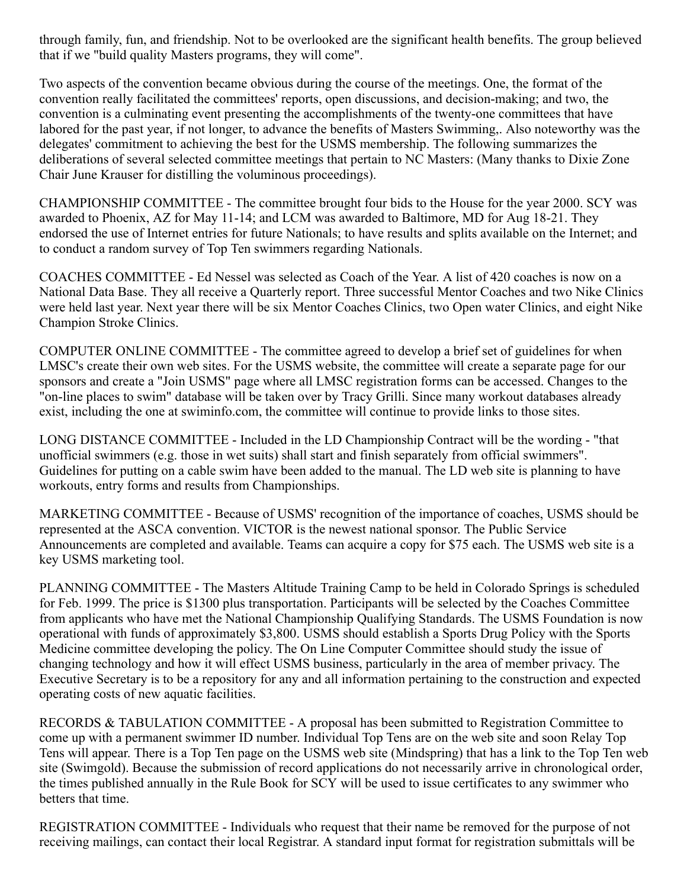through family, fun, and friendship. Not to be overlooked are the significant health benefits. The group believed that if we "build quality Masters programs, they will come".

Two aspects of the convention became obvious during the course of the meetings. One, the format of the convention really facilitated the committees' reports, open discussions, and decision-making; and two, the convention is a culminating event presenting the accomplishments of the twenty-one committees that have labored for the past year, if not longer, to advance the benefits of Masters Swimming,. Also noteworthy was the delegates' commitment to achieving the best for the USMS membership. The following summarizes the deliberations of several selected committee meetings that pertain to NC Masters: (Many thanks to Dixie Zone Chair June Krauser for distilling the voluminous proceedings).

CHAMPIONSHIP COMMITTEE - The committee brought four bids to the House for the year 2000. SCY was awarded to Phoenix, AZ for May 11-14; and LCM was awarded to Baltimore, MD for Aug 18-21. They endorsed the use of Internet entries for future Nationals; to have results and splits available on the Internet; and to conduct a random survey of Top Ten swimmers regarding Nationals.

COACHES COMMITTEE - Ed Nessel was selected as Coach of the Year. A list of 420 coaches is now on a National Data Base. They all receive a Quarterly report. Three successful Mentor Coaches and two Nike Clinics were held last year. Next year there will be six Mentor Coaches Clinics, two Open water Clinics, and eight Nike Champion Stroke Clinics.

COMPUTER ONLINE COMMITTEE - The committee agreed to develop a brief set of guidelines for when LMSC's create their own web sites. For the USMS website, the committee will create a separate page for our sponsors and create a "Join USMS" page where all LMSC registration forms can be accessed. Changes to the "on-line places to swim" database will be taken over by Tracy Grilli. Since many workout databases already exist, including the one at swiminfo.com, the committee will continue to provide links to those sites.

LONG DISTANCE COMMITTEE - Included in the LD Championship Contract will be the wording - "that unofficial swimmers (e.g. those in wet suits) shall start and finish separately from official swimmers". Guidelines for putting on a cable swim have been added to the manual. The LD web site is planning to have workouts, entry forms and results from Championships.

MARKETING COMMITTEE - Because of USMS' recognition of the importance of coaches, USMS should be represented at the ASCA convention. VICTOR is the newest national sponsor. The Public Service Announcements are completed and available. Teams can acquire a copy for \$75 each. The USMS web site is a key USMS marketing tool.

PLANNING COMMITTEE - The Masters Altitude Training Camp to be held in Colorado Springs is scheduled for Feb. 1999. The price is \$1300 plus transportation. Participants will be selected by the Coaches Committee from applicants who have met the National Championship Qualifying Standards. The USMS Foundation is now operational with funds of approximately \$3,800. USMS should establish a Sports Drug Policy with the Sports Medicine committee developing the policy. The On Line Computer Committee should study the issue of changing technology and how it will effect USMS business, particularly in the area of member privacy. The Executive Secretary is to be a repository for any and all information pertaining to the construction and expected operating costs of new aquatic facilities.

RECORDS & TABULATION COMMITTEE - A proposal has been submitted to Registration Committee to come up with a permanent swimmer ID number. Individual Top Tens are on the web site and soon Relay Top Tens will appear. There is a Top Ten page on the USMS web site (Mindspring) that has a link to the Top Ten web site (Swimgold). Because the submission of record applications do not necessarily arrive in chronological order, the times published annually in the Rule Book for SCY will be used to issue certificates to any swimmer who betters that time.

REGISTRATION COMMITTEE - Individuals who request that their name be removed for the purpose of not receiving mailings, can contact their local Registrar. A standard input format for registration submittals will be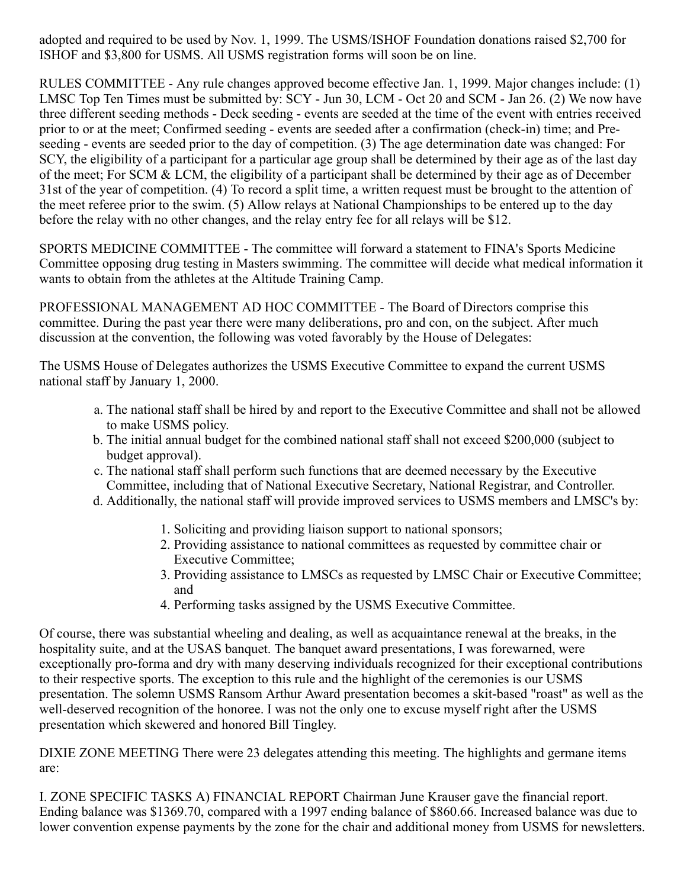adopted and required to be used by Nov. 1, 1999. The USMS/ISHOF Foundation donations raised \$2,700 for ISHOF and \$3,800 for USMS. All USMS registration forms will soon be on line.

RULES COMMITTEE - Any rule changes approved become effective Jan. 1, 1999. Major changes include: (1) LMSC Top Ten Times must be submitted by: SCY - Jun 30, LCM - Oct 20 and SCM - Jan 26. (2) We now have three different seeding methods - Deck seeding - events are seeded at the time of the event with entries received prior to or at the meet; Confirmed seeding - events are seeded after a confirmation (check-in) time; and Preseeding - events are seeded prior to the day of competition. (3) The age determination date was changed: For SCY, the eligibility of a participant for a particular age group shall be determined by their age as of the last day of the meet; For SCM & LCM, the eligibility of a participant shall be determined by their age as of December 31st of the year of competition. (4) To record a split time, a written request must be brought to the attention of the meet referee prior to the swim. (5) Allow relays at National Championships to be entered up to the day before the relay with no other changes, and the relay entry fee for all relays will be \$12.

SPORTS MEDICINE COMMITTEE - The committee will forward a statement to FINA's Sports Medicine Committee opposing drug testing in Masters swimming. The committee will decide what medical information it wants to obtain from the athletes at the Altitude Training Camp.

PROFESSIONAL MANAGEMENT AD HOC COMMITTEE - The Board of Directors comprise this committee. During the past year there were many deliberations, pro and con, on the subject. After much discussion at the convention, the following was voted favorably by the House of Delegates:

The USMS House of Delegates authorizes the USMS Executive Committee to expand the current USMS national staff by January 1, 2000.

- a. The national staff shall be hired by and report to the Executive Committee and shall not be allowed to make USMS policy.
- b. The initial annual budget for the combined national staff shall not exceed \$200,000 (subject to budget approval).
- c. The national staff shall perform such functions that are deemed necessary by the Executive Committee, including that of National Executive Secretary, National Registrar, and Controller.
- d. Additionally, the national staff will provide improved services to USMS members and LMSC's by:
	- 1. Soliciting and providing liaison support to national sponsors;
	- 2. Providing assistance to national committees as requested by committee chair or Executive Committee;
	- 3. Providing assistance to LMSCs as requested by LMSC Chair or Executive Committee; and
	- 4. Performing tasks assigned by the USMS Executive Committee.

Of course, there was substantial wheeling and dealing, as well as acquaintance renewal at the breaks, in the hospitality suite, and at the USAS banquet. The banquet award presentations, I was forewarned, were exceptionally pro-forma and dry with many deserving individuals recognized for their exceptional contributions to their respective sports. The exception to this rule and the highlight of the ceremonies is our USMS presentation. The solemn USMS Ransom Arthur Award presentation becomes a skit-based "roast" as well as the well-deserved recognition of the honoree. I was not the only one to excuse myself right after the USMS presentation which skewered and honored Bill Tingley.

DIXIE ZONE MEETING There were 23 delegates attending this meeting. The highlights and germane items are:

I. ZONE SPECIFIC TASKS A) FINANCIAL REPORT Chairman June Krauser gave the financial report. Ending balance was \$1369.70, compared with a 1997 ending balance of \$860.66. Increased balance was due to lower convention expense payments by the zone for the chair and additional money from USMS for newsletters.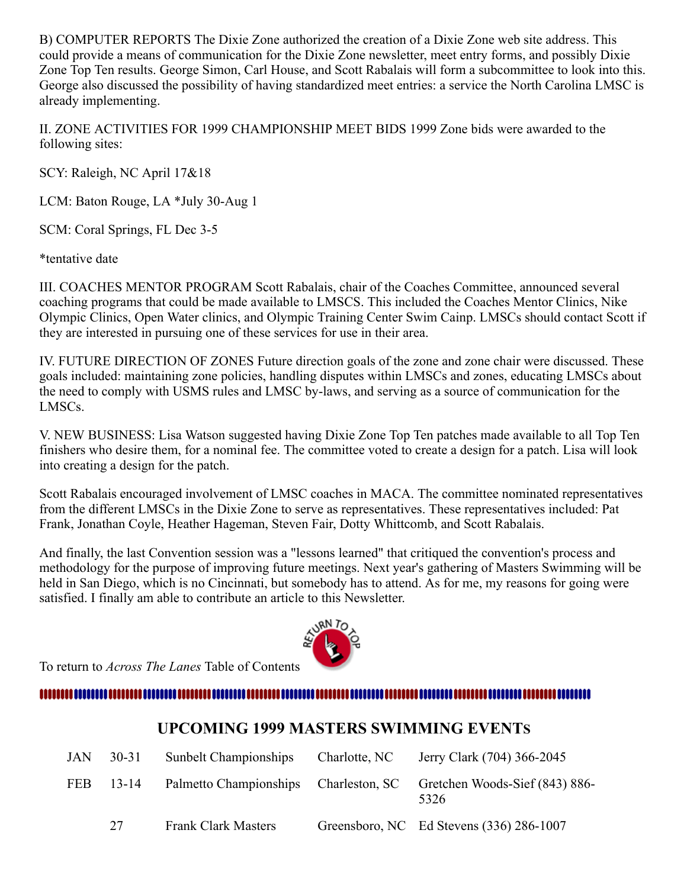B) COMPUTER REPORTS The Dixie Zone authorized the creation of a Dixie Zone web site address. This could provide a means of communication for the Dixie Zone newsletter, meet entry forms, and possibly Dixie Zone Top Ten results. George Simon, Carl House, and Scott Rabalais will form a subcommittee to look into this. George also discussed the possibility of having standardized meet entries: a service the North Carolina LMSC is already implementing.

II. ZONE ACTIVITIES FOR 1999 CHAMPIONSHIP MEET BIDS 1999 Zone bids were awarded to the following sites:

SCY: Raleigh, NC April 17&18

LCM: Baton Rouge, LA \*July 30-Aug 1

SCM: Coral Springs, FL Dec 3-5

\*tentative date

III. COACHES MENTOR PROGRAM Scott Rabalais, chair of the Coaches Committee, announced several coaching programs that could be made available to LMSCS. This included the Coaches Mentor Clinics, Nike Olympic Clinics, Open Water clinics, and Olympic Training Center Swim Cainp. LMSCs should contact Scott if they are interested in pursuing one of these services for use in their area.

IV. FUTURE DIRECTION OF ZONES Future direction goals of the zone and zone chair were discussed. These goals included: maintaining zone policies, handling disputes within LMSCs and zones, educating LMSCs about the need to comply with USMS rules and LMSC by-laws, and serving as a source of communication for the LMSCs.

V. NEW BUSINESS: Lisa Watson suggested having Dixie Zone Top Ten patches made available to all Top Ten finishers who desire them, for a nominal fee. The committee voted to create a design for a patch. Lisa will look into creating a design for the patch.

Scott Rabalais encouraged involvement of LMSC coaches in MACA. The committee nominated representatives from the different LMSCs in the Dixie Zone to serve as representatives. These representatives included: Pat Frank, Jonathan Coyle, Heather Hageman, Steven Fair, Dotty Whittcomb, and Scott Rabalais.

And finally, the last Convention session was a "lessons learned" that critiqued the convention's process and methodology for the purpose of improving future meetings. Next year's gathering of Masters Swimming will be held in San Diego, which is no Cincinnati, but somebody has to attend. As for me, my reasons for going were satisfied. I finally am able to contribute an article to this Newsletter.

To return to *Across The Lanes* Table of Contents



### <span id="page-6-0"></span>

# **UPCOMING 1999 MASTERS SWIMMING EVENTS**

| JAN | $30 - 31$ | <b>Sunbelt Championships</b>          | Charlotte, NC | Jerry Clark (704) 366-2045               |
|-----|-----------|---------------------------------------|---------------|------------------------------------------|
| FEB | 13-14     | Palmetto Championships Charleston, SC |               | Gretchen Woods-Sief (843) 886-<br>5326   |
|     | 27        | <b>Frank Clark Masters</b>            |               | Greensboro, NC Ed Stevens (336) 286-1007 |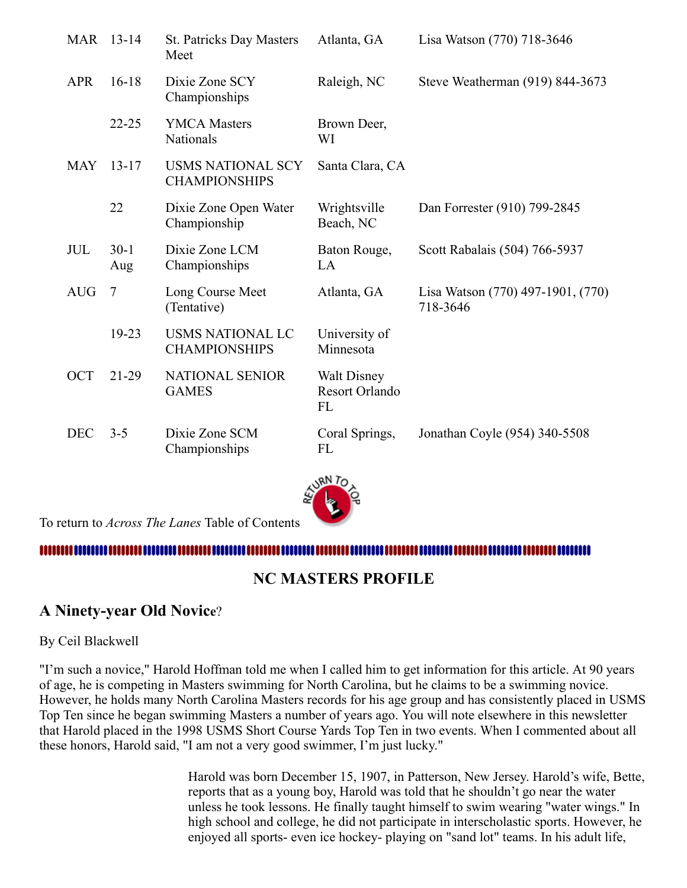| <b>MAR</b> | $13 - 14$       | <b>St. Patricks Day Masters</b><br>Meet          | Atlanta, GA                                | Lisa Watson (770) 718-3646                    |
|------------|-----------------|--------------------------------------------------|--------------------------------------------|-----------------------------------------------|
| <b>APR</b> | $16-18$         | Dixie Zone SCY<br>Championships                  | Raleigh, NC                                | Steve Weatherman (919) 844-3673               |
|            | $22 - 25$       | <b>YMCA Masters</b><br>Nationals                 | Brown Deer,<br>WI                          |                                               |
| <b>MAY</b> | $13 - 17$       | <b>USMS NATIONAL SCY</b><br><b>CHAMPIONSHIPS</b> | Santa Clara, CA                            |                                               |
|            | 22              | Dixie Zone Open Water<br>Championship            | Wrightsville<br>Beach, NC                  | Dan Forrester (910) 799-2845                  |
| <b>JUL</b> | $30-1$<br>Aug   | Dixie Zone LCM<br>Championships                  | Baton Rouge,<br>LA                         | Scott Rabalais (504) 766-5937                 |
| <b>AUG</b> | $7\phantom{.0}$ | Long Course Meet<br>(Tentative)                  | Atlanta, GA                                | Lisa Watson (770) 497-1901, (770)<br>718-3646 |
|            | 19-23           | <b>USMS NATIONAL LC</b><br><b>CHAMPIONSHIPS</b>  | University of<br>Minnesota                 |                                               |
| <b>OCT</b> | $21-29$         | <b>NATIONAL SENIOR</b><br><b>GAMES</b>           | <b>Walt Disney</b><br>Resort Orlando<br>FL |                                               |
| <b>DEC</b> | $3 - 5$         | Dixie Zone SCM<br>Championships                  | Coral Springs,<br>FL                       | Jonathan Coyle (954) 340-5508                 |



To return to *Across The Lanes* Table of Contents

### <span id="page-7-0"></span>,,,,,,,,,,,,,,,,,,,,,,,,,

# **NC MASTERS PROFILE**

# **A Ninety-year Old Novice**?

#### By Ceil Blackwell

"I'm such a novice," Harold Hoffman told me when I called him to get information for this article. At 90 years of age, he is competing in Masters swimming for North Carolina, but he claims to be a swimming novice. However, he holds many North Carolina Masters records for his age group and has consistently placed in USMS Top Ten since he began swimming Masters a number of years ago. You will note elsewhere in this newsletter that Harold placed in the 1998 USMS Short Course Yards Top Ten in two events. When I commented about all these honors, Harold said, "I am not a very good swimmer, I'm just lucky."

> Harold was born December 15, 1907, in Patterson, New Jersey. Harold's wife, Bette, reports that as a young boy, Harold was told that he shouldn't go near the water unless he took lessons. He finally taught himself to swim wearing "water wings." In high school and college, he did not participate in interscholastic sports. However, he enjoyed all sports- even ice hockey- playing on "sand lot" teams. In his adult life,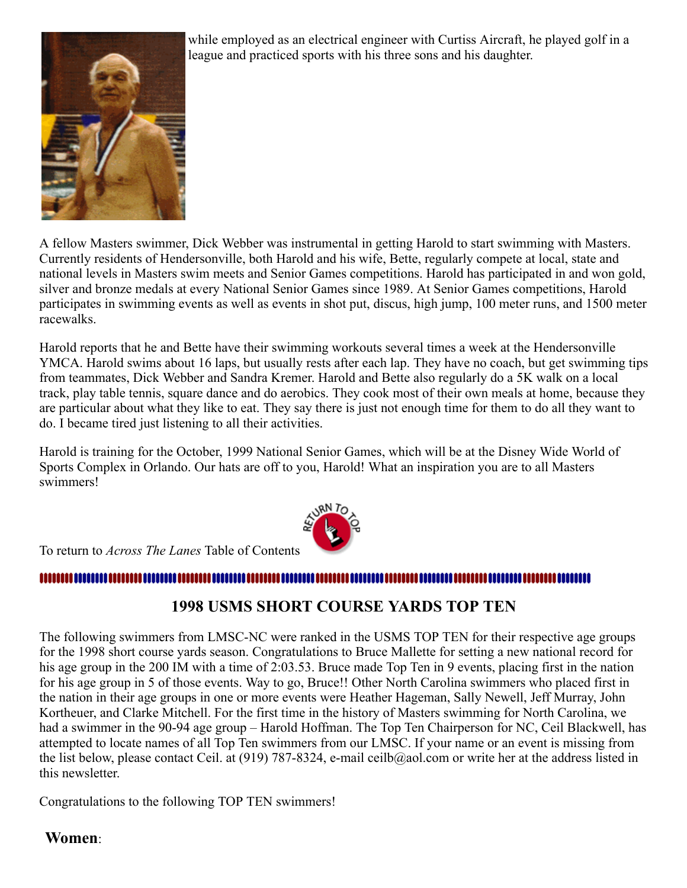

while employed as an electrical engineer with Curtiss Aircraft, he played golf in a league and practiced sports with his three sons and his daughter.

A fellow Masters swimmer, Dick Webber was instrumental in getting Harold to start swimming with Masters. Currently residents of Hendersonville, both Harold and his wife, Bette, regularly compete at local, state and national levels in Masters swim meets and Senior Games competitions. Harold has participated in and won gold, silver and bronze medals at every National Senior Games since 1989. At Senior Games competitions, Harold participates in swimming events as well as events in shot put, discus, high jump, 100 meter runs, and 1500 meter racewalks.

Harold reports that he and Bette have their swimming workouts several times a week at the Hendersonville YMCA. Harold swims about 16 laps, but usually rests after each lap. They have no coach, but get swimming tips from teammates, Dick Webber and Sandra Kremer. Harold and Bette also regularly do a 5K walk on a local track, play table tennis, square dance and do aerobics. They cook most of their own meals at home, because they are particular about what they like to eat. They say there is just not enough time for them to do all they want to do. I became tired just listening to all their activities.

Harold is training for the October, 1999 National Senior Games, which will be at the Disney Wide World of Sports Complex in Orlando. Our hats are off to you, Harold! What an inspiration you are to all Masters swimmers!



To return to *Across The Lanes* Table of Contents

# <span id="page-8-0"></span>,,,,,,,,,,,,,,,,,,,,,,,

# **1998 USMS SHORT COURSE YARDS TOP TEN**

The following swimmers from LMSC-NC were ranked in the USMS TOP TEN for their respective age groups for the 1998 short course yards season. Congratulations to Bruce Mallette for setting a new national record for his age group in the 200 IM with a time of 2:03.53. Bruce made Top Ten in 9 events, placing first in the nation for his age group in 5 of those events. Way to go, Bruce!! Other North Carolina swimmers who placed first in the nation in their age groups in one or more events were Heather Hageman, Sally Newell, Jeff Murray, John Kortheuer, and Clarke Mitchell. For the first time in the history of Masters swimming for North Carolina, we had a swimmer in the 90-94 age group – Harold Hoffman. The Top Ten Chairperson for NC, Ceil Blackwell, has attempted to locate names of all Top Ten swimmers from our LMSC. If your name or an event is missing from the list below, please contact Ceil. at (919) 787-8324, e-mail ceilb@aol.com or write her at the address listed in this newsletter.

Congratulations to the following TOP TEN swimmers!

### **Women**: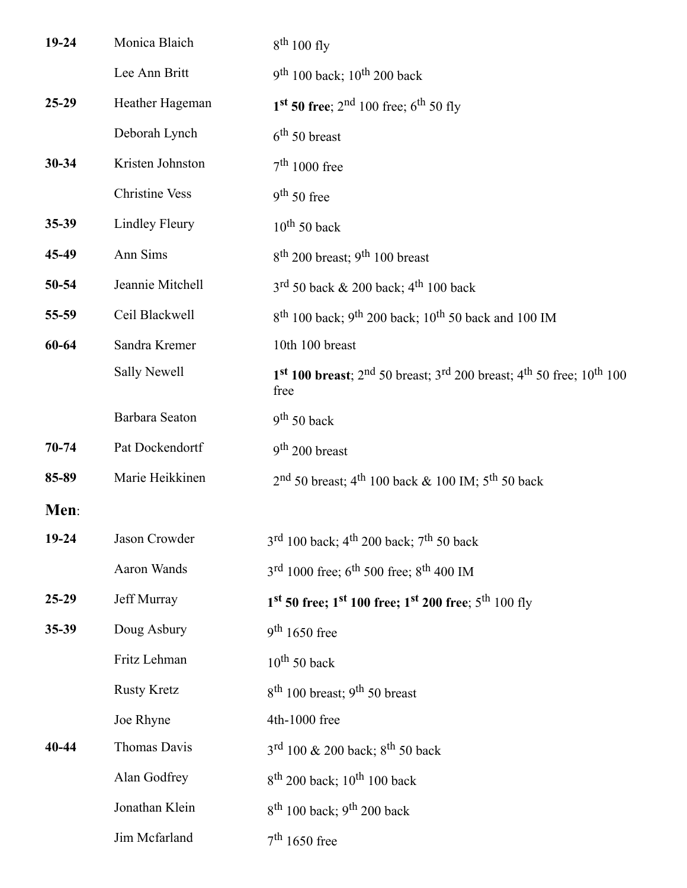| 19-24     | Monica Blaich         | $8th 100$ fly                                                                                                                            |
|-----------|-----------------------|------------------------------------------------------------------------------------------------------------------------------------------|
|           | Lee Ann Britt         | $9th 100$ back; $10th 200$ back                                                                                                          |
| $25-29$   | Heather Hageman       | 1 <sup>st</sup> 50 free; 2 <sup>nd</sup> 100 free; 6 <sup>th</sup> 50 fly                                                                |
|           | Deborah Lynch         | $6th 50$ breast                                                                                                                          |
| $30 - 34$ | Kristen Johnston      | $7th 1000$ free                                                                                                                          |
|           | <b>Christine Vess</b> | $9th 50$ free                                                                                                                            |
| 35-39     | <b>Lindley Fleury</b> | $10^{th}$ 50 back                                                                                                                        |
| 45-49     | Ann Sims              | $8th$ 200 breast; 9 <sup>th</sup> 100 breast                                                                                             |
| 50-54     | Jeannie Mitchell      | $3^{\text{rd}}$ 50 back & 200 back; 4 <sup>th</sup> 100 back                                                                             |
| 55-59     | Ceil Blackwell        | $8^{th}$ 100 back; 9 <sup>th</sup> 200 back; 10 <sup>th</sup> 50 back and 100 IM                                                         |
| 60-64     | Sandra Kremer         | 10th 100 breast                                                                                                                          |
|           | <b>Sally Newell</b>   | 1 <sup>st</sup> 100 breast; 2 <sup>nd</sup> 50 breast; 3 <sup>rd</sup> 200 breast; 4 <sup>th</sup> 50 free; 10 <sup>th</sup> 100<br>free |
|           | Barbara Seaton        | $9th 50$ back                                                                                                                            |
| $70 - 74$ | Pat Dockendortf       | $9th 200$ breast                                                                                                                         |
| 85-89     | Marie Heikkinen       | $2nd$ 50 breast; 4 <sup>th</sup> 100 back & 100 IM; 5 <sup>th</sup> 50 back                                                              |
| Men:      |                       |                                                                                                                                          |
| 19-24     | Jason Crowder         | $3^{rd}$ 100 back; 4 <sup>th</sup> 200 back; 7 <sup>th</sup> 50 back                                                                     |
|           | Aaron Wands           | $3^{\text{rd}}$ 1000 free; 6 <sup>th</sup> 500 free; 8 <sup>th</sup> 400 IM                                                              |
| $25-29$   | Jeff Murray           | $1^{st}$ 50 free; $1^{st}$ 100 free; $1^{st}$ 200 free; $5^{th}$ 100 fly                                                                 |
| 35-39     | Doug Asbury           | $9th 1650$ free                                                                                                                          |
|           | Fritz Lehman          | $10^{th}$ 50 back                                                                                                                        |
|           | <b>Rusty Kretz</b>    | $8th$ 100 breast; 9 <sup>th</sup> 50 breast                                                                                              |
|           | Joe Rhyne             | 4th-1000 free                                                                                                                            |
| 40-44     | Thomas Davis          | $3^{rd}$ 100 & 200 back; $8^{th}$ 50 back                                                                                                |
|           | Alan Godfrey          | $8^{th}$ 200 back; 10 <sup>th</sup> 100 back                                                                                             |
|           | Jonathan Klein        | $8th$ 100 back; 9 <sup>th</sup> 200 back                                                                                                 |
|           | Jim Mcfarland         | $7th 1650$ free                                                                                                                          |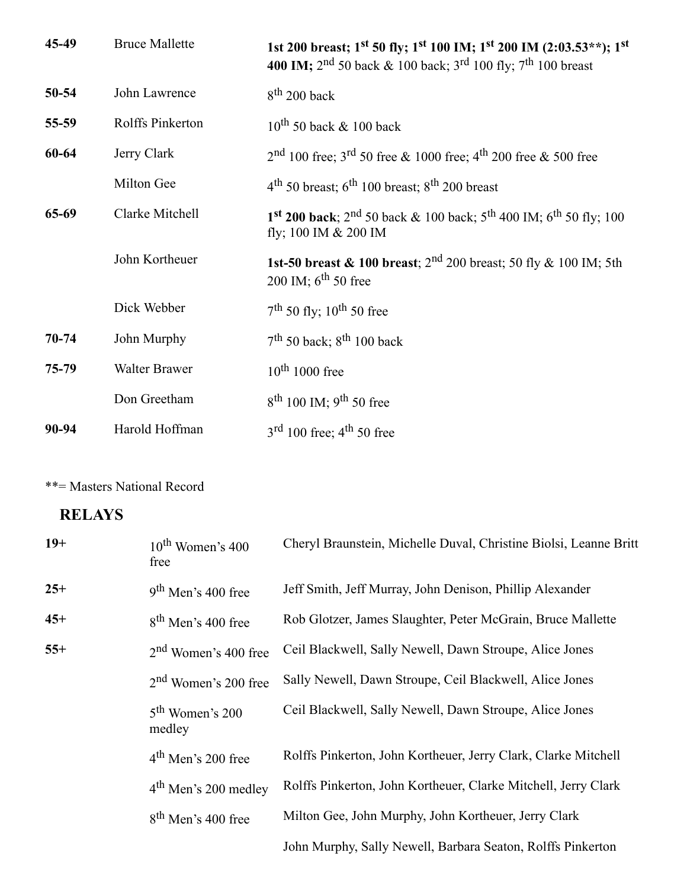| 45-49     | <b>Bruce Mallette</b> | 1st 200 breast; 1 <sup>st</sup> 50 fly; 1 <sup>st</sup> 100 IM; 1 <sup>st</sup> 200 IM (2:03.53**); 1 <sup>st</sup><br><b>400 IM;</b> 2 <sup>nd</sup> 50 back & 100 back; 3 <sup>rd</sup> 100 fly; 7 <sup>th</sup> 100 breast |
|-----------|-----------------------|-------------------------------------------------------------------------------------------------------------------------------------------------------------------------------------------------------------------------------|
| 50-54     | John Lawrence         | $8th$ 200 back                                                                                                                                                                                                                |
| 55-59     | Rolffs Pinkerton      | $10^{th}$ 50 back & 100 back                                                                                                                                                                                                  |
| 60-64     | Jerry Clark           | $2nd$ 100 free; 3 <sup>rd</sup> 50 free & 1000 free; 4 <sup>th</sup> 200 free & 500 free                                                                                                                                      |
|           | Milton Gee            | $4th$ 50 breast; 6 <sup>th</sup> 100 breast; 8 <sup>th</sup> 200 breast                                                                                                                                                       |
| 65-69     | Clarke Mitchell       | 1 <sup>st</sup> 200 back; 2 <sup>nd</sup> 50 back & 100 back; 5 <sup>th</sup> 400 IM; 6 <sup>th</sup> 50 fly; 100<br>fly; 100 IM & 200 IM                                                                                     |
|           | John Kortheuer        | <b>1st-50 breast &amp; 100 breast</b> ; $2^{nd}$ 200 breast; 50 fly & 100 IM; 5th<br>200 IM; $6^{th}$ 50 free                                                                                                                 |
|           | Dick Webber           | $7th$ 50 fly; 10 <sup>th</sup> 50 free                                                                                                                                                                                        |
| $70 - 74$ | John Murphy           | $7th$ 50 back; $8th$ 100 back                                                                                                                                                                                                 |
| 75-79     | Walter Brawer         | $10^{th}$ 1000 free                                                                                                                                                                                                           |
|           | Don Greetham          | $8^{th}$ 100 IM; 9 <sup>th</sup> 50 free                                                                                                                                                                                      |
| 90-94     | Harold Hoffman        | $3rd 100$ free; $4th 50$ free                                                                                                                                                                                                 |

\*\*= Masters National Record

# **RELAYS**

| $19+$ | $10th$ Women's 400<br>free       | Cheryl Braunstein, Michelle Duval, Christine Biolsi, Leanne Britt |
|-------|----------------------------------|-------------------------------------------------------------------|
| $25+$ | $9th$ Men's 400 free             | Jeff Smith, Jeff Murray, John Denison, Phillip Alexander          |
| $45+$ | $8th$ Men's 400 free             | Rob Glotzer, James Slaughter, Peter McGrain, Bruce Mallette       |
| $55+$ | 2 <sup>nd</sup> Women's 400 free | Ceil Blackwell, Sally Newell, Dawn Stroupe, Alice Jones           |
|       | 2 <sup>nd</sup> Women's 200 free | Sally Newell, Dawn Stroupe, Ceil Blackwell, Alice Jones           |
|       | $5th$ Women's 200<br>medley      | Ceil Blackwell, Sally Newell, Dawn Stroupe, Alice Jones           |
|       | $4th$ Men's 200 free             | Rolffs Pinkerton, John Kortheuer, Jerry Clark, Clarke Mitchell    |
|       | 4 <sup>th</sup> Men's 200 medley | Rolffs Pinkerton, John Kortheuer, Clarke Mitchell, Jerry Clark    |
|       | 8 <sup>th</sup> Men's 400 free   | Milton Gee, John Murphy, John Kortheuer, Jerry Clark              |
|       |                                  | John Murphy, Sally Newell, Barbara Seaton, Rolffs Pinkerton       |